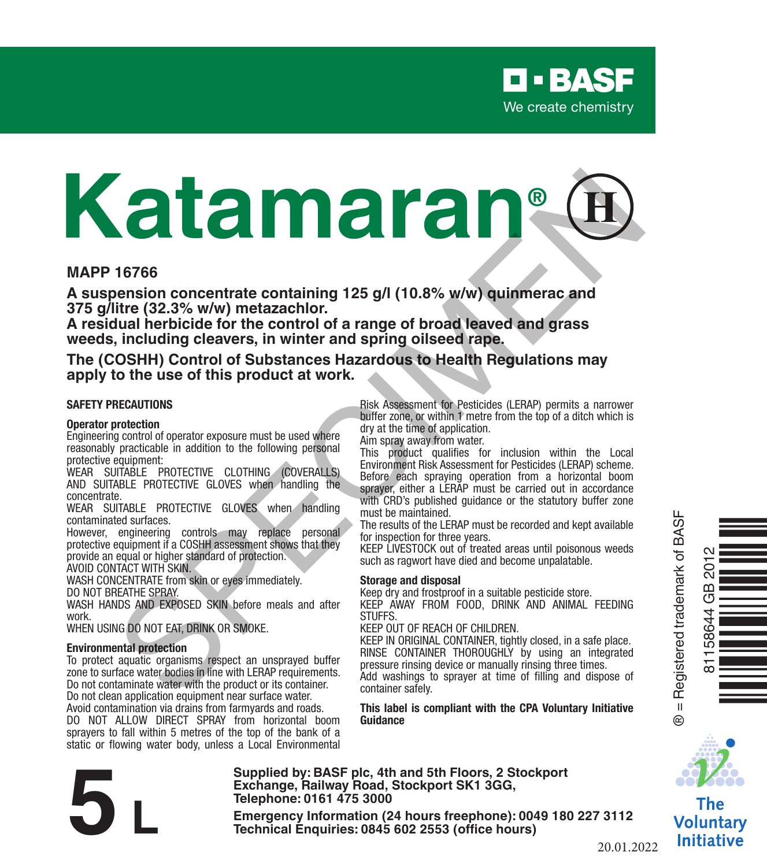

# **Katamaran®** 16766<br>
16766<br>
New York (32.3% w/w) metazachior,<br>
titre (32.3% w/w) metazachior,<br>
titre (32.3% w/w) metazachior,<br>
titre (32.3% w/w) metazachior,<br>
including cleares in writter and spring oilseed rape.<br>
OSHH) Control of Subst

#### **MAPP 16766**

**A suspension concentrate containing 125 g/l (10.8% w/w) quinmerac and 375 g/litre (32.3% w/w) metazachlor.** 

**A residual herbicide for the control of a range of broad leaved and grass weeds, including cleavers, in winter and spring oilseed rape.**

**The (COSHH) Control of Substances Hazardous to Health Regulations may apply to the use of this product at work.**

#### **SAFETY PRECAUTIONS**

#### **Operator protection**

Engineering control of operator exposure must be used where reasonably practicable in addition to the following personal protective equipment:

WEAR SUITABLE PROTECTIVE CLOTHING (COVERALLS) AND SUITABLE PROTECTIVE GLOVES when handling the concentrate.

WEAR SUITABLE PROTECTIVE GLOVES when handling contaminated surfaces.

However, engineering controls may replace personal protective equipment if a COSHH assessment shows that they provide an equal or higher standard of protection.

AVOID CONTACT WITH SKIN.

WASH CONCENTRATE from skin or eyes immediately. DO NOT BREATHE SPRAY.

WASH HANDS AND EXPOSED SKIN before meals and after work.

WHEN USING DO NOT EAT, DRINK OR SMOKE.

#### **Environmental protection**

To protect aquatic organisms respect an unsprayed buffer zone to surface water bodies in line with LERAP requirements. Do not contaminate water with the product or its container. Do not clean application equipment near surface water. Avoid contamination via drains from farmyards and roads.

DO NOT ALLOW DIRECT SPRAY from horizontal boom sprayers to fall within 5 metres of the top of the bank of a static or flowing water body, unless a Local Environmental Risk Assessment for Pesticides (LERAP) permits a narrower buffer zone, or within 1 metre from the top of a ditch which is dry at the time of application.

Aim spray away from water.

This product qualifies for inclusion within the Local Environment Risk Assessment for Pesticides (LERAP) scheme. Before each spraying operation from a horizontal boom sprayer, either a LERAP must be carried out in accordance with CRD's published guidance or the statutory buffer zone must be maintained.

The results of the LERAP must be recorded and kept available for inspection for three years.

KEEP LIVESTOCK out of treated areas until poisonous weeds such as ragwort have died and become unpalatable.

#### **Storage and disposal**

Keep dry and frostproof in a suitable pesticide store. KEEP AWAY FROM FOOD, DRINK AND ANIMAL FEEDING **STUFFS** 

KEEP OUT OF REACH OF CHILDREN.

KEEP IN ORIGINAL CONTAINER, tightly closed, in a safe place. RINSE CONTAINER THOROUGHLY by using an integrated pressure rinsing device or manually rinsing three times. Add washings to sprayer at time of filling and dispose of

container safely.

**This label is compliant with the CPA Voluntary Initiative Guidance**



81158644 GB 2012

 $\overline{5}$ GB 58644

Òq/vL@Ó

The Voluntary Initiative

**Supplied by: BASF plc, 4th and 5th Floors, 2 Stockport Exchange, Railway Road, Stockport SK1 3GG, Telephone: 0161 475 3000** Exchange, Rallway Road, Stockport SK1 3GG,<br>
Telephone: 0161 475 3000<br>
Emergency Information (24 hours freephone): 0049 180 227 3112<br>
Technical Enquiries: 0845 602 2553 (office hours)<br>
20.01.2

20.01.2022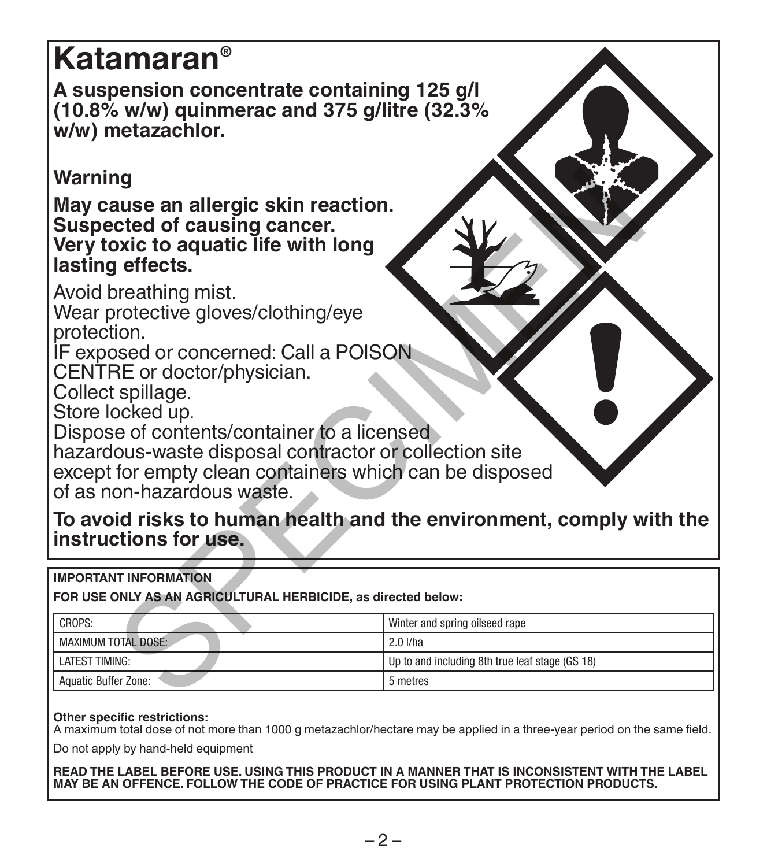# **Katamaran®**

**A suspension concentrate containing 125 g/l (10.8% w/w) quinmerac and 375 g/litre (32.3% w/w) metazachlor.** 

# **Warning**

#### **IMPORTANT INFORMATION**

| Warning<br>May cause an allergic skin reaction.<br>Suspected of causing cancer.<br>Very toxic to aquatic life with long<br>lasting effects.<br>Avoid breathing mist.<br>Wear protective gloves/clothing/eye<br>protection.<br>IF exposed or concerned: Call a POISON<br>CENTRE or doctor/physician.<br>Collect spillage.<br>Store locked up. |                                                 |  |  |  |
|----------------------------------------------------------------------------------------------------------------------------------------------------------------------------------------------------------------------------------------------------------------------------------------------------------------------------------------------|-------------------------------------------------|--|--|--|
| Dispose of contents/container to a licensed<br>hazardous-waste disposal contractor or collection site<br>except for empty clean containers which can be disposed<br>of as non-hazardous waste.                                                                                                                                               |                                                 |  |  |  |
| To avoid risks to human health and the environment, comply with the<br>instructions for use.                                                                                                                                                                                                                                                 |                                                 |  |  |  |
| <b>IMPORTANT INFORMATION</b><br>FOR USE ONLY AS AN AGRICULTURAL HERBICIDE, as directed below:                                                                                                                                                                                                                                                |                                                 |  |  |  |
| CROPS:                                                                                                                                                                                                                                                                                                                                       |                                                 |  |  |  |
| MAXIMUM TOTAL DOSE:                                                                                                                                                                                                                                                                                                                          | Winter and spring oilseed rape<br>2.0 I/ha      |  |  |  |
| <b>I ATFST TIMING:</b>                                                                                                                                                                                                                                                                                                                       | Up to and including 8th true leaf stage (GS 18) |  |  |  |
| Aquatic Buffer Zone:                                                                                                                                                                                                                                                                                                                         | 5 metres                                        |  |  |  |
|                                                                                                                                                                                                                                                                                                                                              |                                                 |  |  |  |

#### **Other specific restrictions:**

A maximum total dose of not more than 1000 g metazachlor/hectare may be applied in a three-year period on the same field.

Do not apply by hand-held equipment

**READ THE LABEL BEFORE USE. USING THIS PRODUCT IN A MANNER THAT IS INCONSISTENT WITH THE LABEL MAY BE AN OFFENCE. FOLLOW THE CODE OF PRACTICE FOR USING PLANT PROTECTION PRODUCTS.**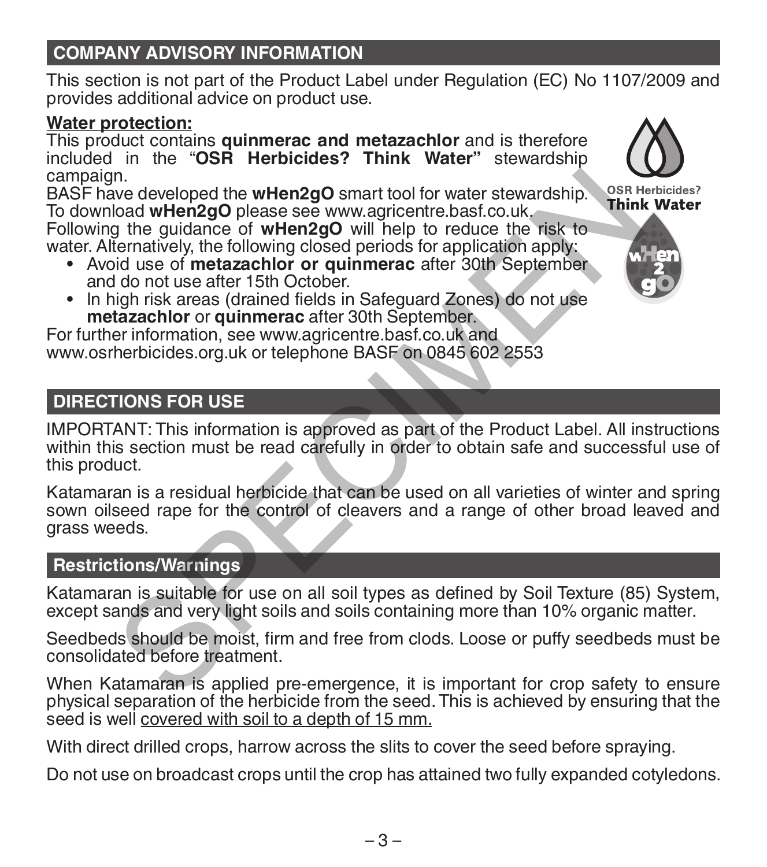# **COMPANY ADVISORY INFORMATION**

This section is not part of the Product Label under Regulation (EC) No 1107/2009 and provides additional advice on product use.

# **Water protection:**

This product contains **quinmerac and metazachlor** and is therefore included in the "**OSR Herbicides? Think Water"** stewardship campaign.

BASF have developed the **wHen2gO** smart tool for water stewardship. To download **wHen2gO** please see www.agricentre.basf.co.uk.

Following the guidance of **wHen2gO** will help to reduce the risk to water. Alternatively, the following closed periods for application apply:

- \* Avoid use of **metazachlor** or quinmerac after 30th September<br>and do not use after 15th October.
- In high risk areas (drained fields in Safeguard Zones) do not use **metazachlor** or **quinmerac** after 30th September.

For further information, see www.agricentre.basf.co.uk and www.osrherbicides.org.uk or telephone BASF on 0845 602 2553

# **DIRECTIONS FOR USE**

IMPORTANT: This information is approved as part of the Product Label. All instructions within this section must be read carefully in order to obtain safe and successful use of this product.

Katamaran is a residual herbicide that can be used on all varieties of winter and spring sown oilseed rape for the control of cleavers and a range of other broad leaved and grass weeds. n.<br>
The developed the wHen2gO smart tool for water stewardship.<br>
Use developed the wHen2gO please see www.agricentre.basf.co.uk,<br>
Think<br>
the guidance of wHen2gO please see www.agricentre.basf.co.uk,<br>
termatively, the follo

# **Restrictions/Warnings**

Katamaran is suitable for use on all soil types as defined by Soil Texture (85) System, except sands and very light soils and soils containing more than 10% organic matter.

Seedbeds should be moist, firm and free from clods. Loose or puffy seedbeds must be consolidated before treatment.

When Katamaran is applied pre-emergence, it is important for crop safety to ensure physical separation of the herbicide from the seed. This is achieved by ensuring that the seed is well covered with soil to a depth of 15 mm.

With direct drilled crops, harrow across the slits to cover the seed before spraying.

Do not use on broadcast crops until the crop has attained two fully expanded cotyledons.



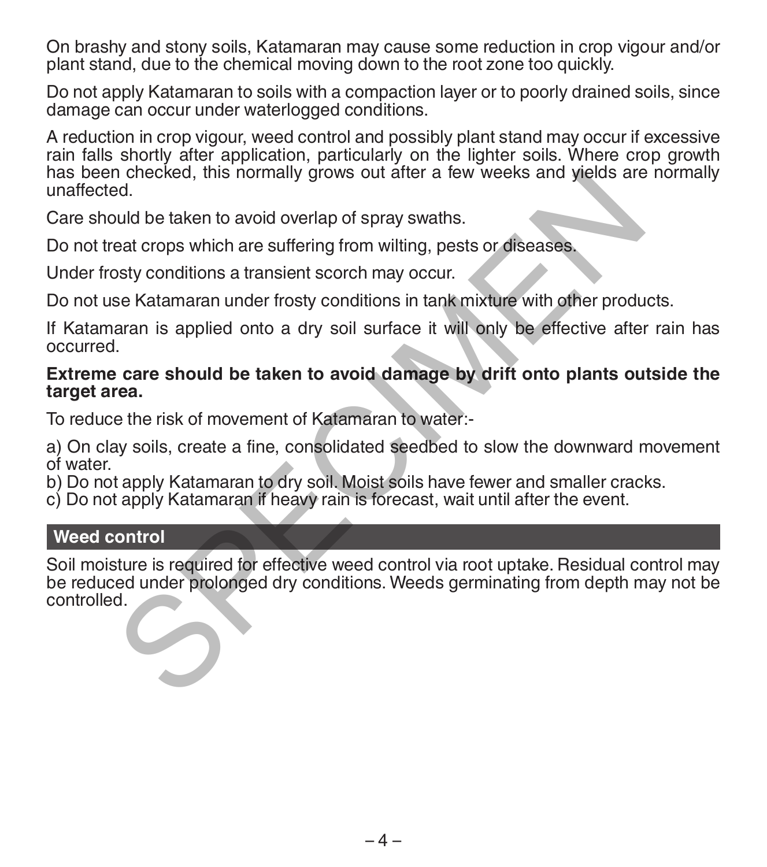On brashy and stony soils, Katamaran may cause some reduction in crop vigour and/or plant stand, due to the chemical moving down to the root zone too quickly.

Do not apply Katamaran to soils with a compaction layer or to poorly drained soils, since damage can occur under waterlogged conditions.

A reduction in crop vigour, weed control and possibly plant stand may occur if excessive rain falls shortly after application, particularly on the lighter soils. Where crop growth has been checked, this normally grows out after a few weeks and yields are normally unaffected.

Care should be taken to avoid overlap of spray swaths.

Do not treat crops which are suffering from wilting, pests or diseases.

Under frosty conditions a transient scorch may occur.

Do not use Katamaran under frosty conditions in tank mixture with other products.

If Katamaran is applied onto a dry soil surface it will only be effective after rain has occurred.

#### **Extreme care should be taken to avoid damage by drift onto plants outside the target area.**

To reduce the risk of movement of Katamaran to water:-

a) On clay soils, create a fine, consolidated seedbed to slow the downward movement of water.

b) Do not apply Katamaran to dry soil. Moist soils have fewer and smaller cracks.

c) Do not apply Katamaran if heavy rain is forecast, wait until after the event.

#### **Weed control**

Soil moisture is required for effective weed control via root uptake. Residual control may be reduced under prolonged dry conditions. Weeds germinating from depth may not be controlled. n checked, this normally grows out after a few weeks and yields are<br>ed.<br>ad.<br>complement of the control overlap of spray swaths.<br>eat crops which are suffering from wilting, pests or diseases.<br>Sety conditions a transient scor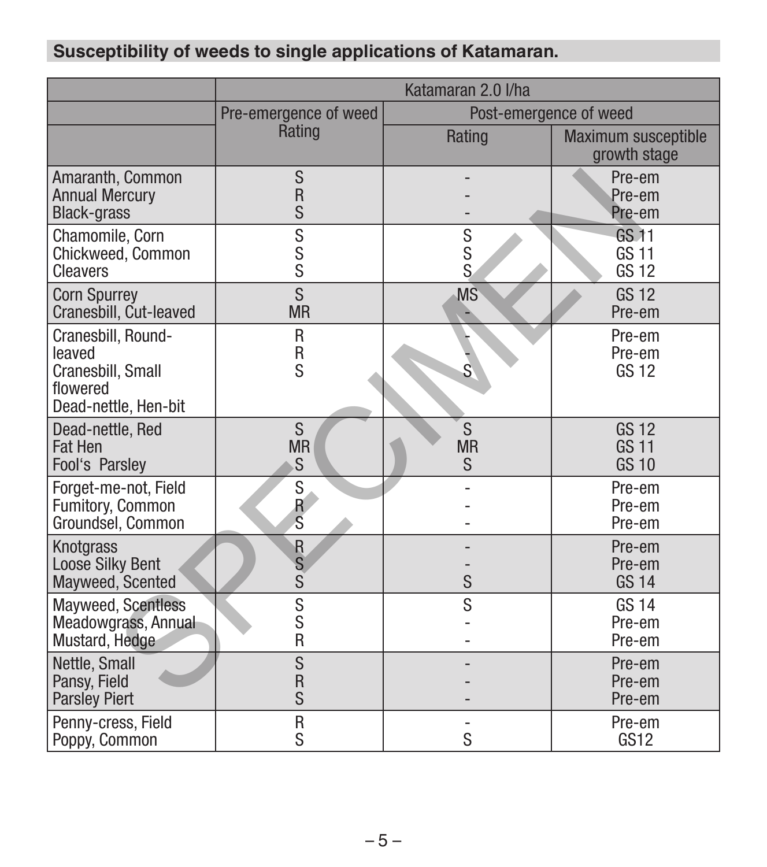# **Susceptibility of weeds to single applications of Katamaran.**

|                                                                                       | Katamaran 2.0 I/ha    |                         |                                              |
|---------------------------------------------------------------------------------------|-----------------------|-------------------------|----------------------------------------------|
|                                                                                       | Pre-emergence of weed | Post-emergence of weed  |                                              |
|                                                                                       | Rating                | Rating                  | Maximum susceptible<br>growth stage          |
| Amaranth, Common<br><b>Annual Mercury</b><br><b>Black-grass</b>                       | S<br>R<br>S           |                         | Pre-em<br>Pre-em<br>Pre-em                   |
| Chamomile, Corn<br>Chickweed, Common<br>Cleavers                                      | S<br>s<br>S           | S<br>s<br>S             | <b>GS 11</b><br><b>GS 11</b><br><b>GS 12</b> |
| <b>Corn Spurrey</b><br>Cranesbill, Cut-leaved                                         | S<br><b>MR</b>        | <b>MS</b>               | <b>GS12</b><br>Pre-em                        |
| Cranesbill, Round-<br>leaved<br>Cranesbill, Small<br>flowered<br>Dead-nettle, Hen-bit | R<br>R<br>S           | $\overline{\mathsf{S}}$ | Pre-em<br>Pre-em<br>GS 12                    |
| Dead-nettle, Red<br>Fat Hen<br>Fool's Parsley                                         | S<br><b>MR</b><br>S   | S<br><b>MR</b><br>S     | <b>GS 12</b><br><b>GS 11</b><br><b>GS 10</b> |
| Forget-me-not, Field<br>Fumitory, Common<br>Groundsel, Common                         | S<br>$\frac{R}{S}$    |                         | Pre-em<br>Pre-em<br>Pre-em                   |
| <b>Knotgrass</b><br>Loose Silky Bent<br>Mayweed, Scented                              | $\frac{R}{S}$<br>S    | S                       | Pre-em<br>Pre-em<br><b>GS 14</b>             |
| Mayweed, Scentless<br>Meadowgrass, Annual<br>Mustard, Hedge                           | S<br>S<br>R           | S                       | <b>GS 14</b><br>Pre-em<br>Pre-em             |
| Nettle, Small<br>Pansy, Field<br><b>Parsley Piert</b>                                 | S<br>R<br>S           |                         | Pre-em<br>Pre-em<br>Pre-em                   |
| Penny-cress, Field<br>Poppy, Common                                                   | R<br>S                | S                       | Pre-em<br>GS <sub>12</sub>                   |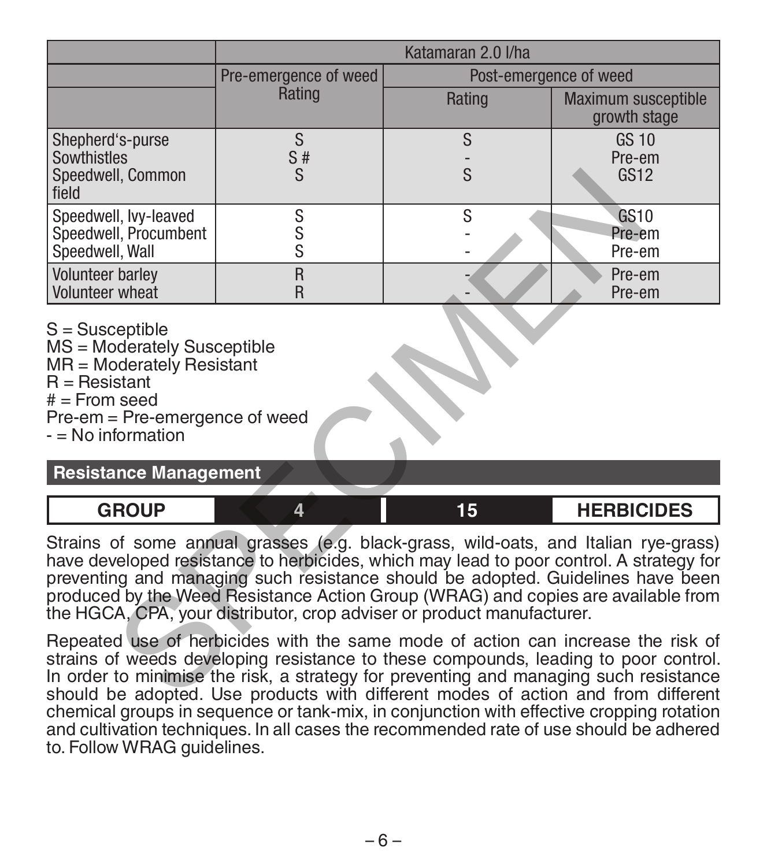|                                                                                                                                                                                                                                                                                                                                                                                                                                                                                                                                                                                                                                                                                                                                                                                           | Katamaran 2.0 I/ha              |                        |                                       |  |
|-------------------------------------------------------------------------------------------------------------------------------------------------------------------------------------------------------------------------------------------------------------------------------------------------------------------------------------------------------------------------------------------------------------------------------------------------------------------------------------------------------------------------------------------------------------------------------------------------------------------------------------------------------------------------------------------------------------------------------------------------------------------------------------------|---------------------------------|------------------------|---------------------------------------|--|
|                                                                                                                                                                                                                                                                                                                                                                                                                                                                                                                                                                                                                                                                                                                                                                                           | Pre-emergence of weed<br>Rating | Post-emergence of weed |                                       |  |
|                                                                                                                                                                                                                                                                                                                                                                                                                                                                                                                                                                                                                                                                                                                                                                                           |                                 | Rating                 | Maximum susceptible<br>growth stage   |  |
| Shepherd's-purse<br>Sowthistles<br>Speedwell, Common<br>field                                                                                                                                                                                                                                                                                                                                                                                                                                                                                                                                                                                                                                                                                                                             | S<br>S#<br>S                    | S<br>S                 | <b>GS 10</b><br>Pre-em<br><b>GS12</b> |  |
| Speedwell, Ivy-leaved<br>Speedwell, Procumbent<br>Speedwell, Wall                                                                                                                                                                                                                                                                                                                                                                                                                                                                                                                                                                                                                                                                                                                         | S<br>S<br>S                     | S                      | <b>GS10</b><br>Pre-em<br>Pre-em       |  |
| <b>Volunteer barley</b><br>Volunteer wheat                                                                                                                                                                                                                                                                                                                                                                                                                                                                                                                                                                                                                                                                                                                                                | $\overline{R}$<br>R             |                        | Pre-em<br>Pre-em                      |  |
| $S =$ Susceptible<br>MS = Moderately Susceptible<br>MR = Moderately Resistant<br>$R =$ Resistant<br>$#$ = From seed<br>Pre-em = Pre-emergence of weed<br>$-$ = No information<br><b>Resistance Management</b>                                                                                                                                                                                                                                                                                                                                                                                                                                                                                                                                                                             |                                 |                        |                                       |  |
| <b>GROUP</b>                                                                                                                                                                                                                                                                                                                                                                                                                                                                                                                                                                                                                                                                                                                                                                              | 4                               | 15                     | <b>HERBICIDES</b>                     |  |
| Strains of some annual grasses (e.g. black-grass, wild-oats, and Italian rye-grass)<br>have developed resistance to herbicides, which may lead to poor control. A strategy for<br>preventing and managing such resistance should be adopted. Guidelines have been<br>produced by the Weed Resistance Action Group (WRAG) and copies are available from<br>the HGCA, CPA, your distributor, crop adviser or product manufacturer.<br>Repeated use of herbicides with the same mode of action can increase the risk of<br>strains of weeds developing resistance to these compounds, leading to poor control.<br>In order to minimise the risk, a strategy for preventing and managing such resistance<br>should be adopted. Use products with different modes of action and from different |                                 |                        |                                       |  |

### **Resistance Management**



Repeated use of herbicides with the same mode of action can increase the risk of strains of weeds developing resistance to these compounds, leading to poor control. In order to minimise the risk, a strategy for preventing and managing such resistance should be adopted. Use products with different modes of action and from different chemical groups in sequence or tank-mix, in conjunction with effective cropping rotation and cultivation techniques. In all cases the recommended rate of use should be adhered to. Follow WRAG guidelines.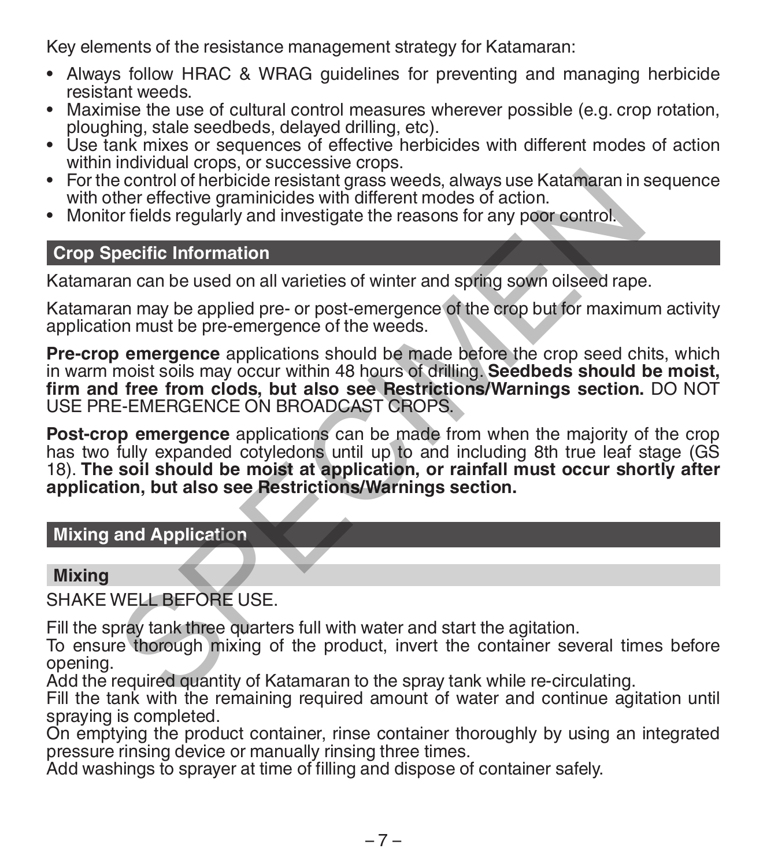Key elements of the resistance management strategy for Katamaran:

- Always follow HRAC & WRAG guidelines for preventing and managing herbicide
- Maximise the use of cultural control measures wherever possible (e.g. crop rotation, ploughing, stale seedbeds, delayed drilling, etc).
- Use tank mixes or sequences of effective herbicides with different modes of action<br>within individual crops, or successive crops.
- For the control of herbicide resistant grass weeds, always use Katamaran in sequence with other effective graminicides with different modes of action.
- Monitor fields regularly and investigate the reasons for any poor control.

# **Crop Specific Information**

Katamaran can be used on all varieties of winter and spring sown oilseed rape.

Katamaran may be applied pre- or post-emergence of the crop but for maximum activity application must be pre-emergence of the weeds.

**Pre-crop emergence** applications should be made before the crop seed chits, which in warm moist soils may occur within 48 hours of drilling. **Seedbeds should be moist, firm and free from clods, but also see Restrictions/Warnings section.** DO NOT USE PRE-EMERGENCE ON BROADCAST CROPS. e control of herbicide resistant grass weeds, always use Katamaran in the effective graminicides with different modes of action.<br>The presenting proportion of the results of which the results of action.<br>The present of the r

**Post-crop emergence** applications can be made from when the majority of the crop has two fully expanded cotyledons until up to and including 8th true leaf stage (GS 18). **The soil should be moist at application, or rainfall must occur shortly after application, but also see Restrictions/Warnings section.**

#### **Mixing and Application**

#### **Mixing**

SHAKE WELL BEFORE USE.

Fill the spray tank three quarters full with water and start the agitation.

To ensure thorough mixing of the product, invert the container several times before opening.

Add the required quantity of Katamaran to the spray tank while re-circulating.

Fill the tank with the remaining required amount of water and continue agitation until spraying is completed.

On emptying the product container, rinse container thoroughly by using an integrated pressure rinsing device or manually rinsing three times.

Add washings to sprayer at time of filling and dispose of container safely.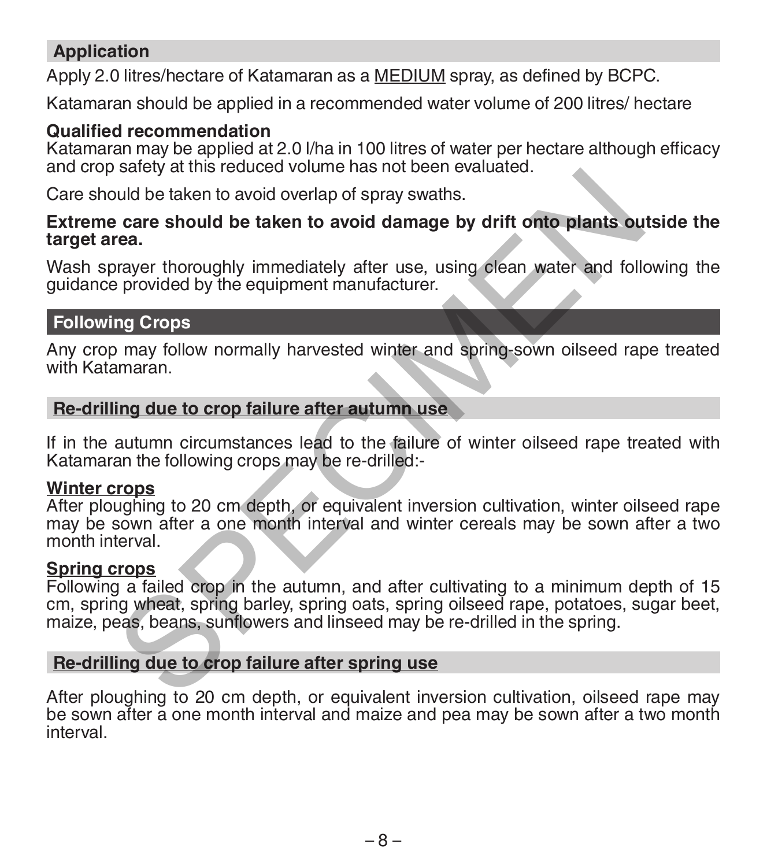# **Application**

Apply 2.0 litres/hectare of Katamaran as a MEDIUM spray, as defined by BCPC.

Katamaran should be applied in a recommended water volume of 200 litres/ hectare

#### **Qualified recommendation**

Katamaran may be applied at 2.0 l/ha in 100 litres of water per hectare although efficacy and crop safety at this reduced volume has not been evaluated.

Care should be taken to avoid overlap of spray swaths.

#### **Extreme care should be taken to avoid damage by drift onto plants outside the target area.**

Wash sprayer thoroughly immediately after use, using clean water and following the guidance provided by the equipment manufacturer.

### **Following Crops**

Any crop may follow normally harvested winter and spring-sown oilseed rape treated with Katamaran.

#### **Re-drilling due to crop failure after autumn use**

If in the autumn circumstances lead to the failure of winter oilseed rape treated with Katamaran the following crops may be re-drilled:-

#### **Winter crops**

After ploughing to 20 cm depth, or equivalent inversion cultivation, winter oilseed rape may be sown after a one month interval and winter cereals may be sown after a two month interval. but the control of states and the spring use<br>under the spring of states and the spring of search of search of search of search of search of search of search of search of search of search of search of search of spreading th

#### **Spring crops**

Following a failed crop in the autumn, and after cultivating to a minimum depth of 15 cm, spring wheat, spring barley, spring oats, spring oilseed rape, potatoes, sugar beet, maize, peas, beans, sunflowers and linseed may be re-drilled in the spring.

#### **Re-drilling due to crop failure after spring use**

After ploughing to 20 cm depth, or equivalent inversion cultivation, oilseed rape may be sown after a one month interval and maize and pea may be sown after a two month interval.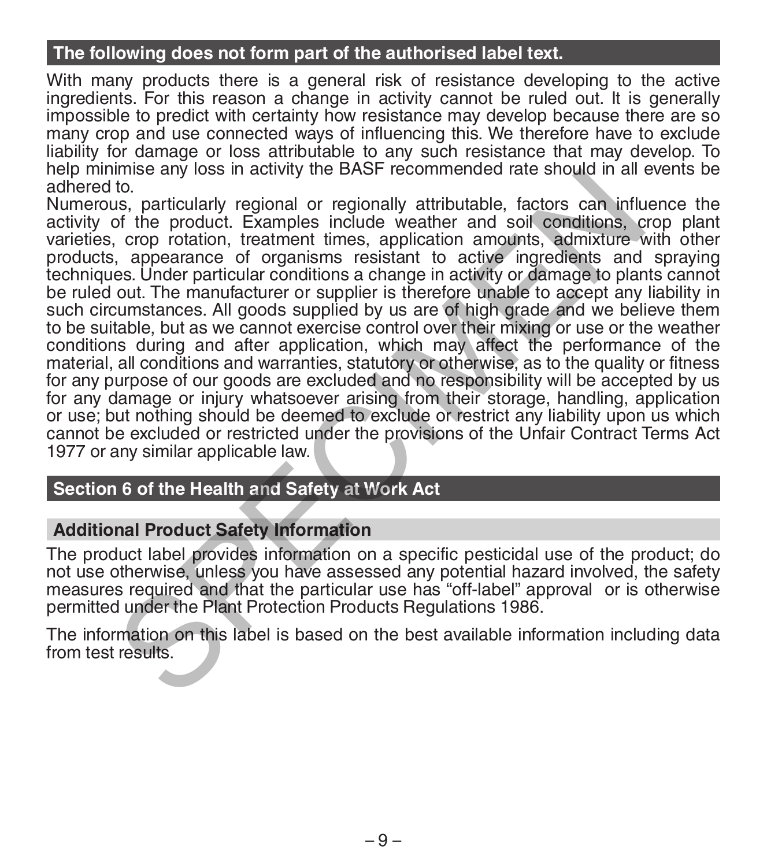### **The following does not form part of the authorised label text.**

With many products there is a general risk of resistance developing to the active ingredients. For this reason a change in activity cannot be ruled out. It is generally impossible to predict with certainty how resistance may develop because there are so many crop and use connected ways of influencing this. We therefore have to exclude liability for damage or loss attributable to any such resistance that may develop. To help minimise any loss in activity the BASF recommended rate should in all events be adhered to.

Numerous, particularly regional or regionally attributable, factors can influence the activity of the product. Examples include weather and soil conditions, crop plant varieties, crop rotation, treatment times, application amounts, admixture with other products, appearance of organisms resistant to active ingredients and spraying techniques. Under particular conditions a change in activity or damage to plants cannot be ruled out. The manufacturer or supplier is therefore unable to accept any liability in such circumstances. All goods supplied by us are of high grade and we believe them to be suitable, but as we cannot exercise control over their mixing or use or the weather conditions during and after application, which may affect the performance of the material, all conditions and warranties, statutory or otherwise, as to the quality or fitness for any purpose of our goods are excluded and no responsibility will be accepted by us for any damage or injury whatsoever arising from their storage, handling, application or use; but nothing should be deemed to exclude or restrict any liability upon us which cannot be excluded or restricted under the provisions of the Unfair Contract Terms Act 1977 or any similar applicable law. this was particularly regional of regionally attributable, factors can influenties to, the product. Examples include weather and soil conditions, c, crop rotation, treatment times, application amounts, admixture v, appeara

# **Section 6 of the Health and Safety at Work Act**

#### **Additional Product Safety Information**

The product label provides information on a specific pesticidal use of the product; do not use otherwise, unless you have assessed any potential hazard involved, the safety measures required and that the particular use has "off-label" approval or is otherwise permitted under the Plant Protection Products Regulations 1986.

The information on this label is based on the best available information including data from test results.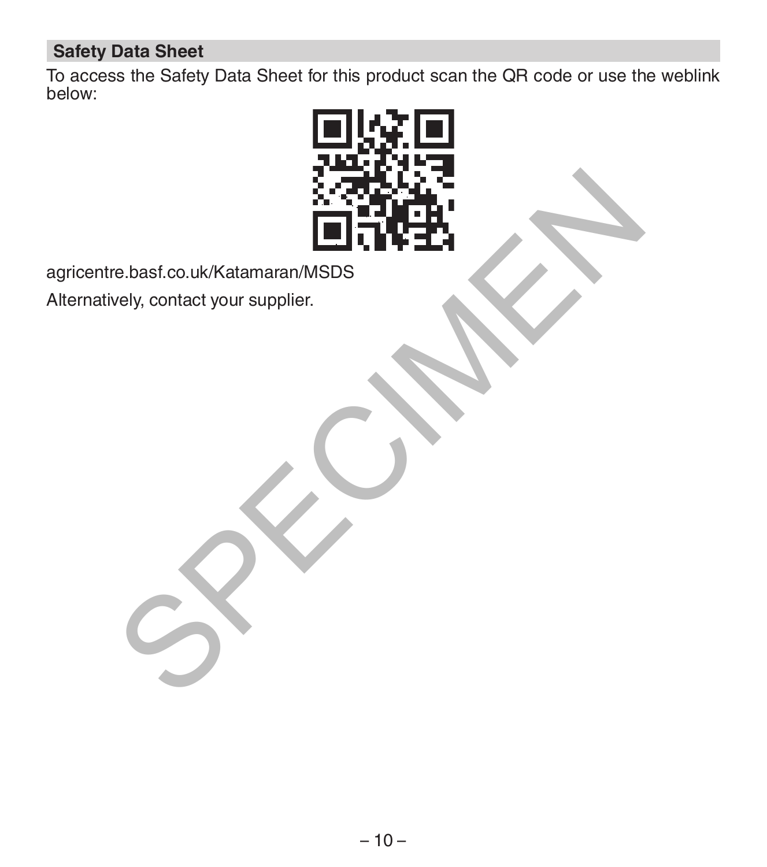# **Safety Data Sheet**

To access the Safety Data Sheet for this product scan the QR code or use the weblink below:



agricentre.basf.co.uk/Katamaran/MSDS

Alternatively, contact your supplier.